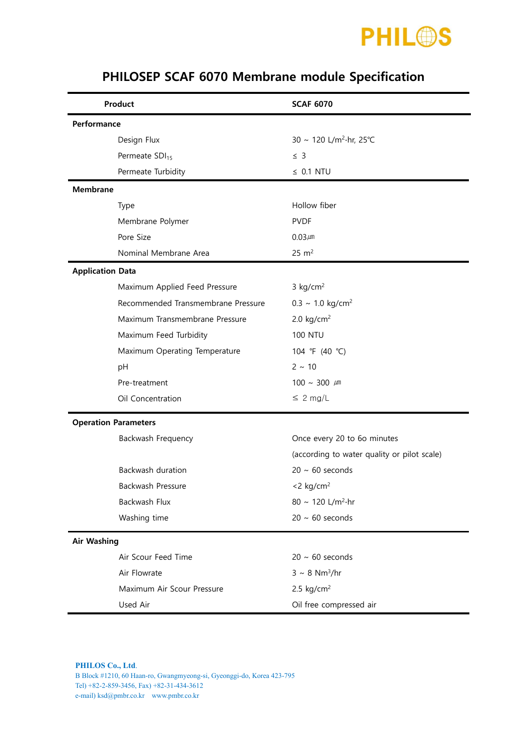

| Product                     |                                    | <b>SCAF 6070</b>                            |  |  |  |
|-----------------------------|------------------------------------|---------------------------------------------|--|--|--|
| Performance                 |                                    |                                             |  |  |  |
| Design Flux                 |                                    | 30 ~ 120 L/m <sup>2</sup> ·hr, 25°C         |  |  |  |
| Permeate SDI <sub>15</sub>  |                                    | $\leq$ 3                                    |  |  |  |
| Permeate Turbidity          |                                    | $\leq$ 0.1 NTU                              |  |  |  |
| <b>Membrane</b>             |                                    |                                             |  |  |  |
| Type                        |                                    | Hollow fiber                                |  |  |  |
| Membrane Polymer            |                                    | <b>PVDF</b>                                 |  |  |  |
| Pore Size                   |                                    | $0.03 \mu m$                                |  |  |  |
|                             | Nominal Membrane Area              | $25 \text{ m}^2$                            |  |  |  |
| <b>Application Data</b>     |                                    |                                             |  |  |  |
|                             | Maximum Applied Feed Pressure      | $3$ kg/cm <sup>2</sup>                      |  |  |  |
|                             | Recommended Transmembrane Pressure | $0.3 \sim 1.0 \text{ kg/cm}^2$              |  |  |  |
|                             | Maximum Transmembrane Pressure     | 2.0 $kg/cm2$                                |  |  |  |
|                             | Maximum Feed Turbidity             | <b>100 NTU</b>                              |  |  |  |
|                             | Maximum Operating Temperature      | 104 °F (40 °C)                              |  |  |  |
| pH                          |                                    | $2 \sim 10$                                 |  |  |  |
| Pre-treatment               |                                    | $100 \sim 300 \mu m$                        |  |  |  |
| Oil Concentration           |                                    | $\leq 2$ mg/L                               |  |  |  |
| <b>Operation Parameters</b> |                                    |                                             |  |  |  |
|                             | Backwash Frequency                 | Once every 20 to 6o minutes                 |  |  |  |
|                             |                                    | (according to water quality or pilot scale) |  |  |  |
| Backwash duration           |                                    | $20 \sim 60$ seconds                        |  |  |  |
| Backwash Pressure           |                                    | $<$ 2 kg/cm <sup>2</sup>                    |  |  |  |
| Backwash Flux               |                                    | 80 ~ 120 L/m <sup>2</sup> ·hr               |  |  |  |
| Washing time                |                                    | $20 \sim 60$ seconds                        |  |  |  |
| <b>Air Washing</b>          |                                    |                                             |  |  |  |
|                             | Air Scour Feed Time                | $20 \sim 60$ seconds                        |  |  |  |
| Air Flowrate                |                                    | $3 \sim 8$ Nm <sup>3</sup> /hr              |  |  |  |
| Maximum Air Scour Pressure  |                                    | 2.5 $kg/cm2$                                |  |  |  |
| Used Air                    |                                    | Oil free compressed air                     |  |  |  |

## PHILOSEP SCAF 6070 Membrane module Specification